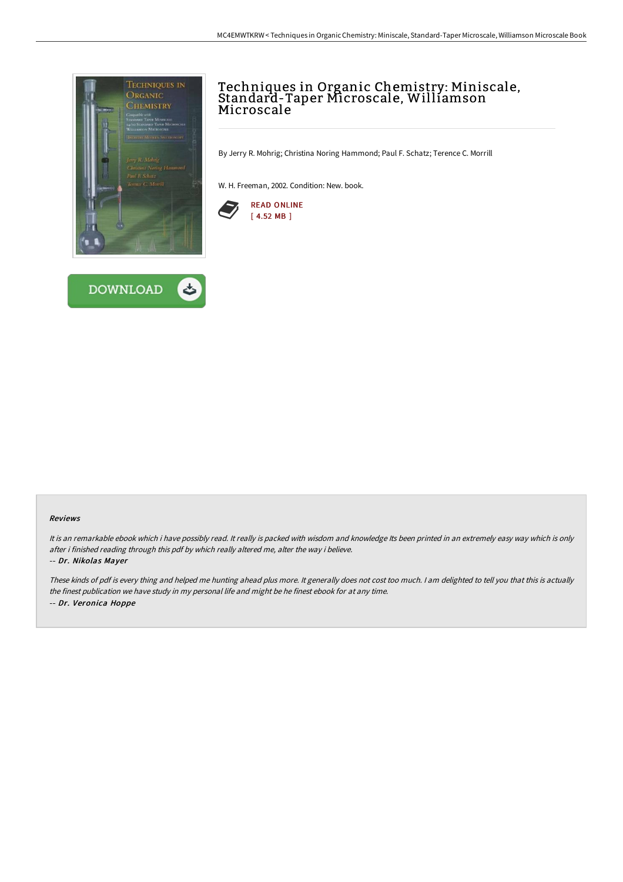



# Techniques in Organic Chemistry: Miniscale, Standard-Taper Microscale, Williamson Microscale

By Jerry R. Mohrig; Christina Noring Hammond; Paul F. Schatz; Terence C. Morrill

W. H. Freeman, 2002. Condition: New. book.



#### Reviews

It is an remarkable ebook which i have possibly read. It really is packed with wisdom and knowledge Its been printed in an extremely easy way which is only after i finished reading through this pdf by which really altered me, alter the way i believe.

### -- Dr. Nikolas Mayer

These kinds of pdf is every thing and helped me hunting ahead plus more. It generally does not cost too much. <sup>I</sup> am delighted to tell you that this is actually the finest publication we have study in my personal life and might be he finest ebook for at any time. -- Dr. Veronica Hoppe